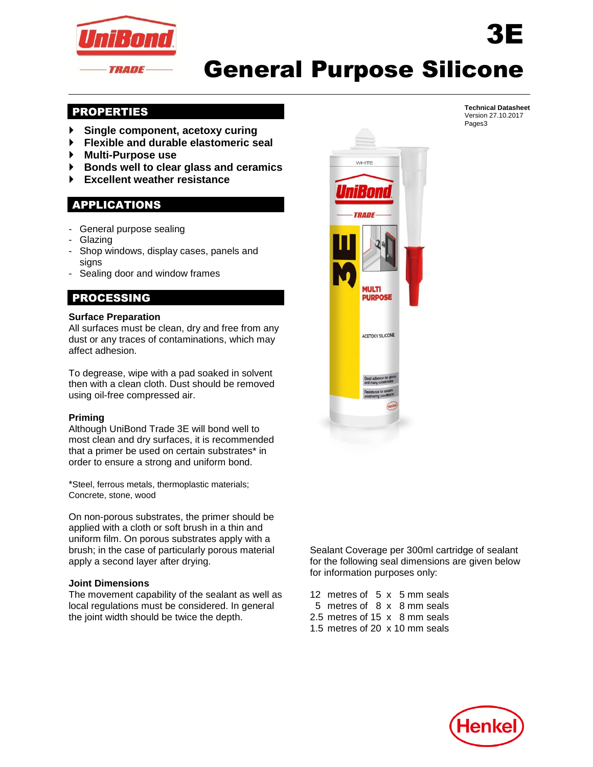

# General Purpose Silicone

## PROPERTIES

- **Single component, acetoxy curing**
- **Flexible and durable elastomeric seal**
- **Multi-Purpose use**
- **Bonds well to clear glass and ceramics**
- **Excellent weather resistance**

## APPLICATIONS

- General purpose sealing
- **Glazing**
- Shop windows, display cases, panels and signs
- Sealing door and window frames

## PROCESSING

#### **Surface Preparation**

All surfaces must be clean, dry and free from any dust or any traces of contaminations, which may affect adhesion.

To degrease, wipe with a pad soaked in solvent then with a clean cloth. Dust should be removed using oil-free compressed air.

#### **Priming**

Although UniBond Trade 3E will bond well to most clean and dry surfaces, it is recommended that a primer be used on certain substrates\* in order to ensure a strong and uniform bond.

\*Steel, ferrous metals, thermoplastic materials; Concrete, stone, wood

On non-porous substrates, the primer should be applied with a cloth or soft brush in a thin and uniform film. On porous substrates apply with a brush; in the case of particularly porous material apply a second layer after drying.

#### **Joint Dimensions**

The movement capability of the sealant as well as local regulations must be considered. In general the joint width should be twice the depth.



**Technical Datasheet** Version 27.10.2017 Pages3

3E

Sealant Coverage per 300ml cartridge of sealant for the following seal dimensions are given below for information purposes only:

| 12 metres of 5 x 5 mm seals    |  |  |  |
|--------------------------------|--|--|--|
| 5 metres of 8 x 8 mm seals     |  |  |  |
| 2.5 metres of 15 x 8 mm seals  |  |  |  |
| 1.5 metres of 20 x 10 mm seals |  |  |  |

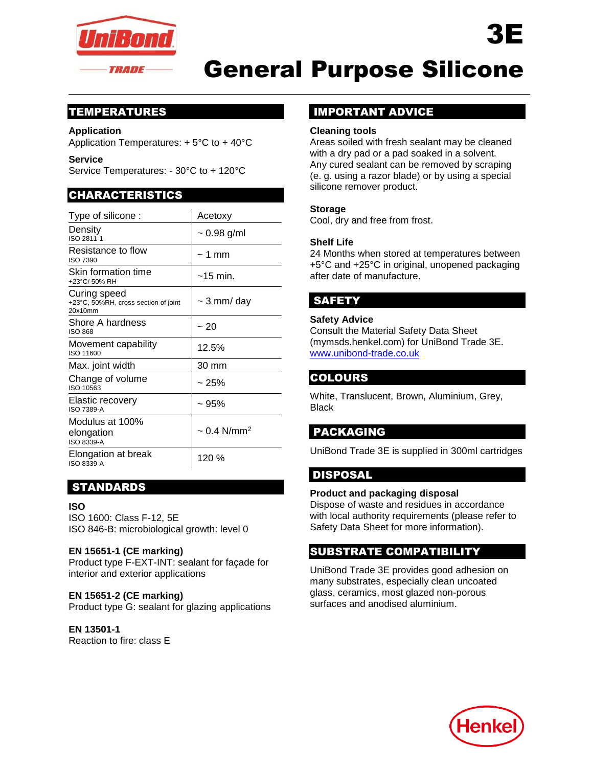

# General Purpose Silicone

## TEMPERATURES

## **Application**

Application Temperatures: + 5°C to + 40°C

**Service** 

Service Temperatures: - 30°C to + 120°C

## CHARACTERISTICS

| Type of silicone:                                               | Acetoxy                      |  |  |
|-----------------------------------------------------------------|------------------------------|--|--|
| Density<br>ISO 2811-1                                           | $\sim 0.98$ g/ml             |  |  |
| Resistance to flow<br><b>ISO 7390</b>                           | $\sim$ 1 mm                  |  |  |
| Skin formation time<br>+23°C/ 50% RH                            | $~15$ min.                   |  |  |
| Curing speed<br>+23°C, 50%RH, cross-section of joint<br>20x10mm | $\sim$ 3 mm/ day             |  |  |
| Shore A hardness<br><b>ISO 868</b>                              | $~1$ 20                      |  |  |
| Movement capability<br>ISO 11600                                | 12.5%                        |  |  |
| Max. joint width                                                | 30 mm                        |  |  |
| Change of volume<br>ISO 10563                                   | ~25%                         |  |  |
| <b>Elastic recovery</b><br><b>ISO 7389-A</b>                    | ~1.95%                       |  |  |
| Modulus at 100%<br>elongation<br>ISO 8339-A                     | $\sim 0.4$ N/mm <sup>2</sup> |  |  |
| Elongation at break<br><b>ISO 8339-A</b>                        | 120 %                        |  |  |

# STANDARDS

## **ISO**

ISO 1600: Class F-12, 5E ISO 846-B: microbiological growth: level 0

## **EN 15651-1 (CE marking)**

Product type F-EXT-INT: sealant for façade for interior and exterior applications

#### **EN 15651-2 (CE marking)**

Product type G: sealant for glazing applications

**EN 13501-1** Reaction to fire: class E

## IMPORTANT ADVICE

#### **Cleaning tools**

Areas soiled with fresh sealant may be cleaned with a dry pad or a pad soaked in a solvent. Any cured sealant can be removed by scraping (e. g. using a razor blade) or by using a special silicone remover product.

3E

#### **Storage**

Cool, dry and free from frost.

#### **Shelf Life**

24 Months when stored at temperatures between +5°C and +25°C in original, unopened packaging after date of manufacture.

## SAFETY

## **Safety Advice**

Consult the Material Safety Data Sheet (mymsds.henkel.com) for UniBond Trade 3E. [www.unibond-trade.co.uk](http://www.unibond-trade.co.uk/)

## COLOURS

White, Translucent, Brown, Aluminium, Grey, **Black** 

## PACKAGING

UniBond Trade 3E is supplied in 300ml cartridges

## DISPOSAL

#### **Product and packaging disposal**

Dispose of waste and residues in accordance with local authority requirements (please refer to Safety Data Sheet for more information).

## SUBSTRATE COMPATIBILITY

UniBond Trade 3E provides good adhesion on many substrates, especially clean uncoated glass, ceramics, most glazed non-porous surfaces and anodised aluminium.